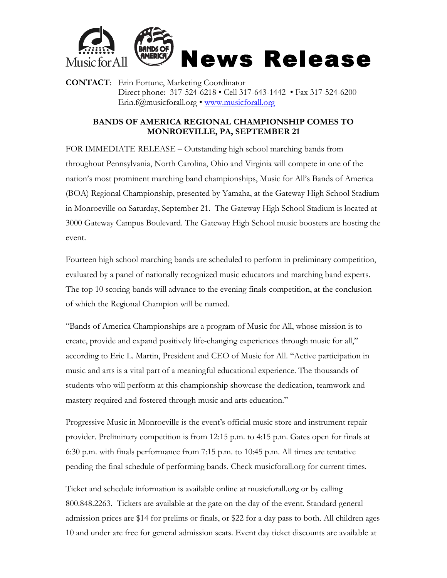

**CONTACT**: Erin Fortune, Marketing Coordinator Direct phone: 317-524-6218 • Cell 317-643-1442 • Fax 317-524-6200 Erin.f@musicforall.org • www.musicforall.org

## **BANDS OF AMERICA REGIONAL CHAMPIONSHIP COMES TO MONROEVILLE, PA, SEPTEMBER 21**

FOR IMMEDIATE RELEASE – Outstanding high school marching bands from throughout Pennsylvania, North Carolina, Ohio and Virginia will compete in one of the nation's most prominent marching band championships, Music for All's Bands of America (BOA) Regional Championship, presented by Yamaha, at the Gateway High School Stadium in Monroeville on Saturday, September 21. The Gateway High School Stadium is located at 3000 Gateway Campus Boulevard. The Gateway High School music boosters are hosting the event.

Fourteen high school marching bands are scheduled to perform in preliminary competition, evaluated by a panel of nationally recognized music educators and marching band experts. The top 10 scoring bands will advance to the evening finals competition, at the conclusion of which the Regional Champion will be named.

"Bands of America Championships are a program of Music for All, whose mission is to create, provide and expand positively life-changing experiences through music for all," according to Eric L. Martin, President and CEO of Music for All. "Active participation in music and arts is a vital part of a meaningful educational experience. The thousands of students who will perform at this championship showcase the dedication, teamwork and mastery required and fostered through music and arts education."

Progressive Music in Monroeville is the event's official music store and instrument repair provider. Preliminary competition is from 12:15 p.m. to 4:15 p.m. Gates open for finals at 6:30 p.m. with finals performance from 7:15 p.m. to 10:45 p.m. All times are tentative pending the final schedule of performing bands. Check musicforall.org for current times.

Ticket and schedule information is available online at musicforall.org or by calling 800.848.2263. Tickets are available at the gate on the day of the event. Standard general admission prices are \$14 for prelims or finals, or \$22 for a day pass to both. All children ages 10 and under are free for general admission seats. Event day ticket discounts are available at